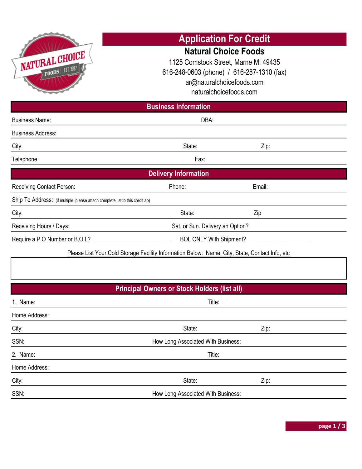| NATURAL CHOICE<br><b>FOODS</b>   EST. 1997<br><b>Business Name:</b>           | <b>Business Information</b><br>DBA:                                                            | <b>Application For Credit</b><br><b>Natural Choice Foods</b><br>1125 Comstock Street, Marne MI 49435<br>616-248-0603 (phone) / 616-287-1310 (fax)<br>ar@naturalchoicefoods.com<br>naturalchoicefoods.com |  |  |
|-------------------------------------------------------------------------------|------------------------------------------------------------------------------------------------|----------------------------------------------------------------------------------------------------------------------------------------------------------------------------------------------------------|--|--|
| <b>Business Address:</b>                                                      |                                                                                                |                                                                                                                                                                                                          |  |  |
| City:                                                                         | State:                                                                                         | Zip:                                                                                                                                                                                                     |  |  |
| Telephone:                                                                    | Fax:                                                                                           |                                                                                                                                                                                                          |  |  |
|                                                                               | <b>Delivery Information</b>                                                                    |                                                                                                                                                                                                          |  |  |
| <b>Receiving Contact Person:</b>                                              | Phone:                                                                                         | Email:                                                                                                                                                                                                   |  |  |
| Ship To Address: (if multiple, please attach complete list to this credit ap) |                                                                                                |                                                                                                                                                                                                          |  |  |
| City:                                                                         | State:                                                                                         | Zip                                                                                                                                                                                                      |  |  |
| Receiving Hours / Days:                                                       | Sat. or Sun. Delivery an Option?                                                               |                                                                                                                                                                                                          |  |  |
|                                                                               | BOL ONLY With Shipment?                                                                        |                                                                                                                                                                                                          |  |  |
|                                                                               | Please List Your Cold Storage Facility Information Below: Name, City, State, Contact Info, etc |                                                                                                                                                                                                          |  |  |
|                                                                               |                                                                                                |                                                                                                                                                                                                          |  |  |
|                                                                               | <b>Principal Owners or Stock Holders (list all)</b>                                            |                                                                                                                                                                                                          |  |  |
| 1. Name:                                                                      | Title:                                                                                         |                                                                                                                                                                                                          |  |  |
| Home Address:                                                                 |                                                                                                |                                                                                                                                                                                                          |  |  |
| City:                                                                         | State:                                                                                         | Zip:                                                                                                                                                                                                     |  |  |
| SSN:                                                                          | How Long Associated With Business:                                                             |                                                                                                                                                                                                          |  |  |
| 2. Name:                                                                      | Title:                                                                                         |                                                                                                                                                                                                          |  |  |
| Home Address:                                                                 |                                                                                                |                                                                                                                                                                                                          |  |  |
| City:                                                                         | State:                                                                                         | Zip:                                                                                                                                                                                                     |  |  |
| SSN:                                                                          | How Long Associated With Business:                                                             |                                                                                                                                                                                                          |  |  |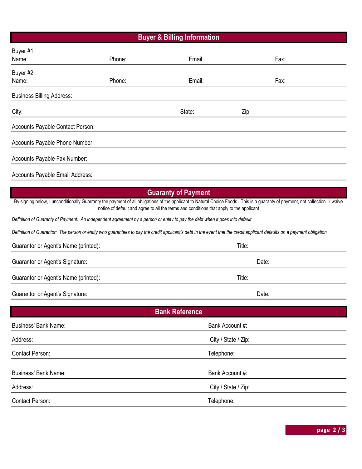## Buyer & Billing Information

|                                        |        | שייייים אי יט                                                                                                                                                           |                                                                                                                                                                               |
|----------------------------------------|--------|-------------------------------------------------------------------------------------------------------------------------------------------------------------------------|-------------------------------------------------------------------------------------------------------------------------------------------------------------------------------|
| Buyer #1:                              |        |                                                                                                                                                                         |                                                                                                                                                                               |
| Name:                                  | Phone: | Email:                                                                                                                                                                  | Fax:                                                                                                                                                                          |
| Buyer #2:                              |        |                                                                                                                                                                         |                                                                                                                                                                               |
| Name:                                  | Phone: | Email:                                                                                                                                                                  | Fax:                                                                                                                                                                          |
| <b>Business Billing Address:</b>       |        |                                                                                                                                                                         |                                                                                                                                                                               |
| City:                                  |        | State:                                                                                                                                                                  | Zip                                                                                                                                                                           |
| Accounts Payable Contact Person:       |        |                                                                                                                                                                         |                                                                                                                                                                               |
| Accounts Payable Phone Number:         |        |                                                                                                                                                                         |                                                                                                                                                                               |
| Accounts Payable Fax Number:           |        |                                                                                                                                                                         |                                                                                                                                                                               |
| Accounts Payable Email Address:        |        |                                                                                                                                                                         |                                                                                                                                                                               |
|                                        |        | <b>Guaranty of Payment</b>                                                                                                                                              |                                                                                                                                                                               |
|                                        |        | notice of default and agree to all the terms and conditions that apply to the applicant                                                                                 | By signing below, I unconditionally Guarranty the payment of all obligations of the applicant to Natural Choice Foods. This is a guaranty of payment, not collection. I waive |
|                                        |        | Definition of Guaranty of Payment: An independent agreement by a person or entity to pay the debt when it goes into default                                             |                                                                                                                                                                               |
|                                        |        | Definition of Guarantor: The person or entity who guarantees to pay the credit applicant's debt in the event that the credit applicant defaults on a payment obligation |                                                                                                                                                                               |
| Guarantor or Agent's Name (printed):   |        |                                                                                                                                                                         | Title:                                                                                                                                                                        |
| Guarantor or Agent's Signature:        |        |                                                                                                                                                                         | Date:                                                                                                                                                                         |
| Guarantor or Agent's Name (printed):   |        |                                                                                                                                                                         | Title:                                                                                                                                                                        |
| <b>Guarantor or Agent's Signature:</b> |        |                                                                                                                                                                         | Date:                                                                                                                                                                         |
|                                        |        | <b>Bank Reference</b>                                                                                                                                                   |                                                                                                                                                                               |
|                                        |        |                                                                                                                                                                         |                                                                                                                                                                               |
| <b>Business' Bank Name:</b>            |        | Bank Account #:                                                                                                                                                         |                                                                                                                                                                               |
| Address:                               |        | City / State / Zip:                                                                                                                                                     |                                                                                                                                                                               |

Contact Person: Telephone:

| <b>Business' Bank Name:</b> | Bank Account #:     |  |
|-----------------------------|---------------------|--|
| Address:                    | City / State / Zip: |  |
| Contact Person:             | Telephone:          |  |